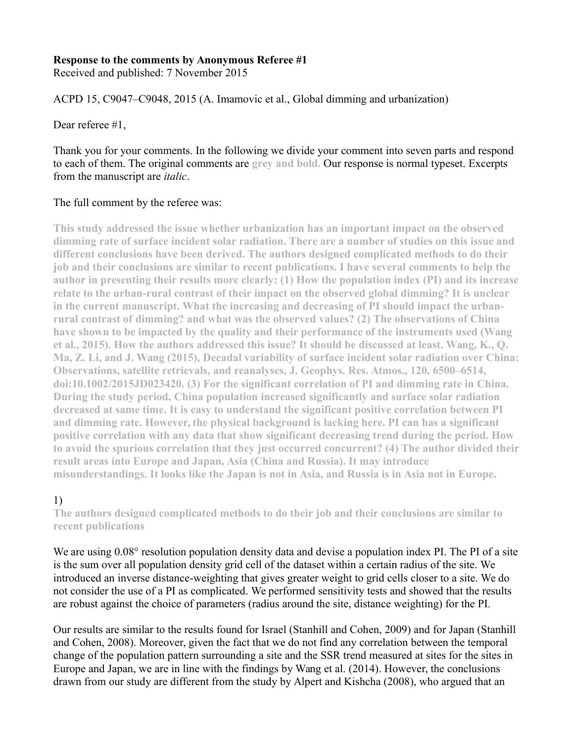### **Response to the comments by Anonymous Referee #1**

Received and published: 7 November 2015

ACPD 15, C9047–C9048, 2015 (A. Imamovic et al., Global dimming and urbanization)

Dear referee #1,

Thank you for your comments. In the following we divide your comment into seven parts and respond to each of them. The original comments are **grey and bold.** Our response is normal typeset. Excerpts from the manuscript are *italic*.

### The full comment by the referee was:

**This study addressed the issue whether urbanization has an important impact on the observed dimming rate of surface incident solar radiation. There are a number of studies on this issue and different conclusions have been derived. The authors designed complicated methods to do their job and their conclusions are similar to recent publications. I have several comments to help the author in presenting their results more clearly: (1) How the population index (PI) and its increase relate to the urban-rural contrast of their impact on the observed global dimming? It is unclear in the current manuscript. What the increasing and decreasing of PI should impact the urbanrural contrast of dimming? and what was the observed values? (2) The observations of China have shown to be impacted by the quality and their performance of the instruments used (Wang et al., 2015). How the authors addressed this issue? It should be discussed at least. Wang, K., Q. Ma, Z. Li, and J. Wang (2015), Decadal variability of surface incident solar radiation over China: Observations, satellite retrievals, and reanalyses, J. Geophys. Res. Atmos., 120, 6500–6514, doi:10.1002/2015JD023420. (3) For the significant correlation of PI and dimming rate in China. During the study period, China population increased significantly and surface solar radiation decreased at same time. It is easy to understand the significant positive correlation between PI and dimming rate. However, the physical background is lacking here. PI can has a significant positive correlation with any data that show significant decreasing trend during the period. How to avoid the spurious correlation that they just occurred concurrent? (4) The author divided their result areas into Europe and Japan, Asia (China and Russia). It may introduce misunderstandings. It looks like the Japan is not in Asia, and Russia is in Asia not in Europe.**

## 1)

**The authors designed complicated methods to do their job and their conclusions are similar to recent publications**

We are using  $0.08^{\circ}$  resolution population density data and devise a population index PI. The PI of a site is the sum over all population density grid cell of the dataset within a certain radius of the site. We introduced an inverse distance-weighting that gives greater weight to grid cells closer to a site. We do not consider the use of a PI as complicated. We performed sensitivity tests and showed that the results are robust against the choice of parameters (radius around the site, distance weighting) for the PI.

Our results are similar to the results found for Israel (Stanhill and Cohen, 2009) and for Japan (Stanhill and Cohen, 2008). Moreover, given the fact that we do not find any correlation between the temporal change of the population pattern surrounding a site and the SSR trend measured at sites for the sites in Europe and Japan, we are in line with the findings by Wang et al. (2014). However, the conclusions drawn from our study are different from the study by Alpert and Kishcha (2008), who argued that an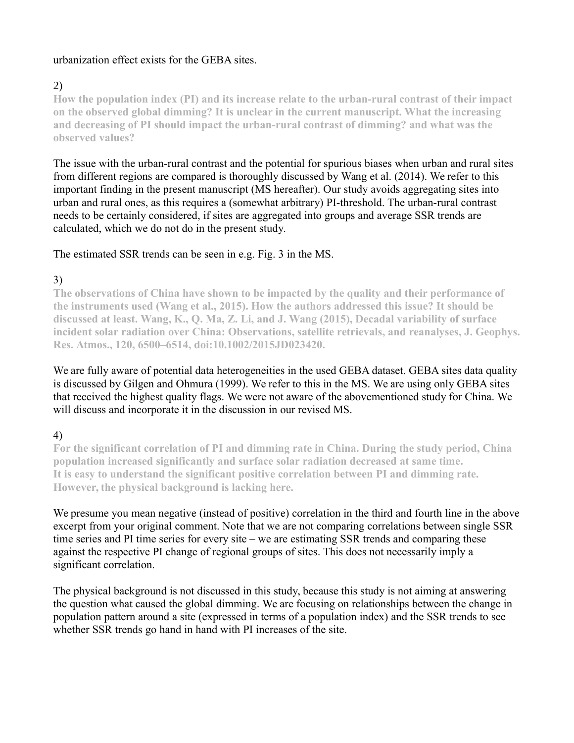### urbanization effect exists for the GEBA sites.

# 2)

**How the population index (PI) and its increase relate to the urban-rural contrast of their impact on the observed global dimming? It is unclear in the current manuscript. What the increasing and decreasing of PI should impact the urban-rural contrast of dimming? and what was the observed values?**

The issue with the urban-rural contrast and the potential for spurious biases when urban and rural sites from different regions are compared is thoroughly discussed by Wang et al. (2014). We refer to this important finding in the present manuscript (MS hereafter). Our study avoids aggregating sites into urban and rural ones, as this requires a (somewhat arbitrary) PI-threshold. The urban-rural contrast needs to be certainly considered, if sites are aggregated into groups and average SSR trends are calculated, which we do not do in the present study.

### The estimated SSR trends can be seen in e.g. Fig. 3 in the MS.

# 3)

**The observations of China have shown to be impacted by the quality and their performance of the instruments used (Wang et al., 2015). How the authors addressed this issue? It should be discussed at least. Wang, K., Q. Ma, Z. Li, and J. Wang (2015), Decadal variability of surface incident solar radiation over China: Observations, satellite retrievals, and reanalyses, J. Geophys. Res. Atmos., 120, 6500–6514, doi:10.1002/2015JD023420.**

We are fully aware of potential data heterogeneities in the used GEBA dataset. GEBA sites data quality is discussed by Gilgen and Ohmura (1999). We refer to this in the MS. We are using only GEBA sites that received the highest quality flags. We were not aware of the abovementioned study for China. We will discuss and incorporate it in the discussion in our revised MS.

# 4)

**For the significant correlation of PI and dimming rate in China. During the study period, China population increased significantly and surface solar radiation decreased at same time. It is easy to understand the significant positive correlation between PI and dimming rate. However, the physical background is lacking here.** 

We presume you mean negative (instead of positive) correlation in the third and fourth line in the above excerpt from your original comment. Note that we are not comparing correlations between single SSR time series and PI time series for every site – we are estimating SSR trends and comparing these against the respective PI change of regional groups of sites. This does not necessarily imply a significant correlation.

The physical background is not discussed in this study, because this study is not aiming at answering the question what caused the global dimming. We are focusing on relationships between the change in population pattern around a site (expressed in terms of a population index) and the SSR trends to see whether SSR trends go hand in hand with PI increases of the site.